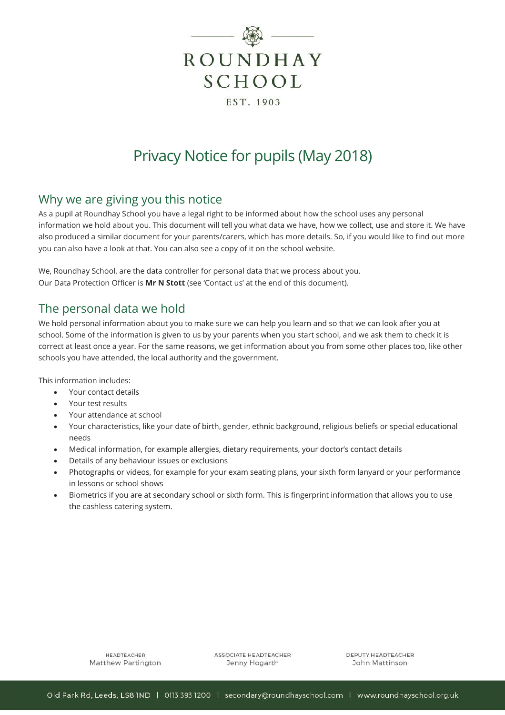

# Privacy Notice for pupils (May 2018)

## Why we are giving you this notice

As a pupil at Roundhay School you have a legal right to be informed about how the school uses any personal information we hold about you. This document will tell you what data we have, how we collect, use and store it. We have also produced a similar document for your parents/carers, which has more details. So, if you would like to find out more you can also have a look at that. You can also see a copy of it on the school website.

We, Roundhay School, are the data controller for personal data that we process about you. Our Data Protection Officer is **Mr N Stott** (see 'Contact us' at the end of this document).

## The personal data we hold

We hold personal information about you to make sure we can help you learn and so that we can look after you at school. Some of the information is given to us by your parents when you start school, and we ask them to check it is correct at least once a year. For the same reasons, we get information about you from some other places too, like other schools you have attended, the local authority and the government.

This information includes:

- Your contact details
- Your test results
- Your attendance at school
- Your characteristics, like your date of birth, gender, ethnic background, religious beliefs or special educational needs
- Medical information, for example allergies, dietary requirements, your doctor's contact details
- Details of any behaviour issues or exclusions
- Photographs or videos, for example for your exam seating plans, your sixth form lanyard or your performance in lessons or school shows
- Biometrics if you are at secondary school or sixth form. This is fingerprint information that allows you to use the cashless catering system.

**HEADTEACHER** Matthew Partington ASSOCIATE HEADTEACHER Jenny Hogarth

DEPUTY HEADTEACHER John Mattinson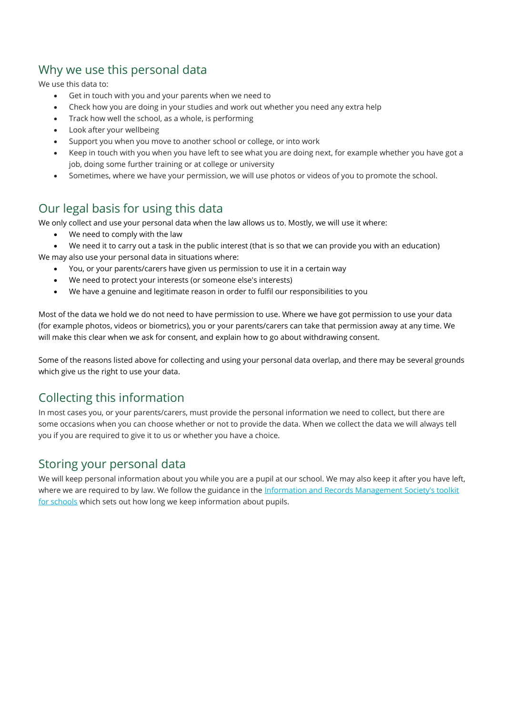## Why we use this personal data

We use this data to:

- Get in touch with you and your parents when we need to
- Check how you are doing in your studies and work out whether you need any extra help
- Track how well the school, as a whole, is performing
- Look after your wellbeing
- Support you when you move to another school or college, or into work
- Keep in touch with you when you have left to see what you are doing next, for example whether you have got a job, doing some further training or at college or university
- Sometimes, where we have your permission, we will use photos or videos of you to promote the school.

# Our legal basis for using this data

We only collect and use your personal data when the law allows us to. Mostly, we will use it where:

- We need to comply with the law
- We need it to carry out a task in the public interest (that is so that we can provide you with an education)

We may also use your personal data in situations where:

- You, or your parents/carers have given us permission to use it in a certain way
- We need to protect your interests (or someone else's interests)
- We have a genuine and legitimate reason in order to fulfil our responsibilities to you

Most of the data we hold we do not need to have permission to use. Where we have got permission to use your data (for example photos, videos or biometrics), you or your parents/carers can take that permission away at any time. We will make this clear when we ask for consent, and explain how to go about withdrawing consent.

Some of the reasons listed above for collecting and using your personal data overlap, and there may be several grounds which give us the right to use your data.

# Collecting this information

In most cases you, or your parents/carers, must provide the personal information we need to collect, but there are some occasions when you can choose whether or not to provide the data. When we collect the data we will always tell you if you are required to give it to us or whether you have a choice.

## Storing your personal data

We will keep personal information about you while you are a pupil at our school. We may also keep it after you have left, where we are required to by law. We follow the guidance in the Information and Records Management Society's toolkit [for schools](http://irms.org.uk/?page=schoolstoolkit&terms=%22toolkit+and+schools%22) which sets out how long we keep information about pupils.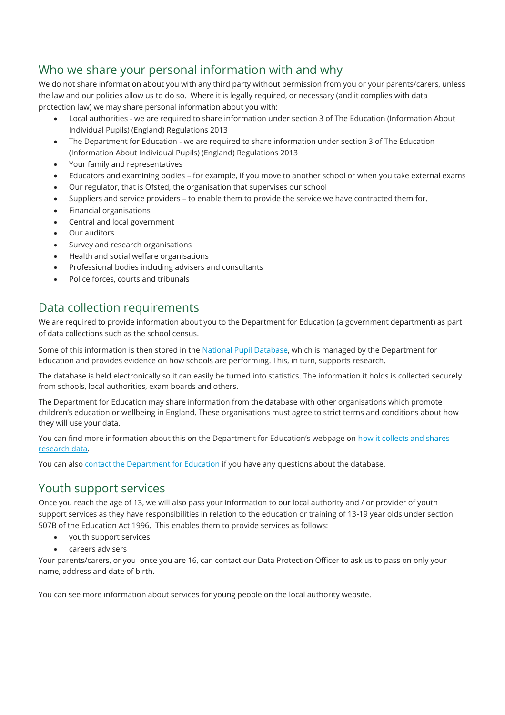# Who we share your personal information with and why

We do not share information about you with any third party without permission from you or your parents/carers, unless the law and our policies allow us to do so. Where it is legally required, or necessary (and it complies with data protection law) we may share personal information about you with:

- Local authorities we are required to share information under section 3 of The Education (Information About Individual Pupils) (England) Regulations 2013
- The Department for Education we are required to share information under section 3 of The Education (Information About Individual Pupils) (England) Regulations 2013
- Your family and representatives
- Educators and examining bodies for example, if you move to another school or when you take external exams
- Our regulator, that is Ofsted, the organisation that supervises our school
- Suppliers and service providers to enable them to provide the service we have contracted them for.
- Financial organisations
- Central and local government
- Our auditors
- Survey and research organisations
- Health and social welfare organisations
- Professional bodies including advisers and consultants
- Police forces, courts and tribunals

## Data collection requirements

We are required to provide information about you to the Department for Education (a government department) as part of data collections such as the school census.

Some of this information is then stored in the [National Pupil Database,](https://www.gov.uk/government/publications/national-pupil-database-user-guide-and-supporting-information) which is managed by the Department for Education and provides evidence on how schools are performing. This, in turn, supports research.

The database is held electronically so it can easily be turned into statistics. The information it holds is collected securely from schools, local authorities, exam boards and others.

The Department for Education may share information from the database with other organisations which promote children's education or wellbeing in England. These organisations must agree to strict terms and conditions about how they will use your data.

You can find more information about this on the Department for Education's webpage on how it collects and shares [research data.](https://www.gov.uk/data-protection-how-we-collect-and-share-research-data)

You can also [contact the Department for Education](https://www.gov.uk/contact-dfe) if you have any questions about the database.

## Youth support services

Once you reach the age of 13, we will also pass your information to our local authority and / or provider of youth support services as they have responsibilities in relation to the education or training of 13-19 year olds under section 507B of the Education Act 1996. This enables them to provide services as follows:

- youth support services
- careers advisers

Your parents/carers, or you once you are 16, can contact our Data Protection Officer to ask us to pass on only your name, address and date of birth.

You can see more information about services for young people on the local authority website.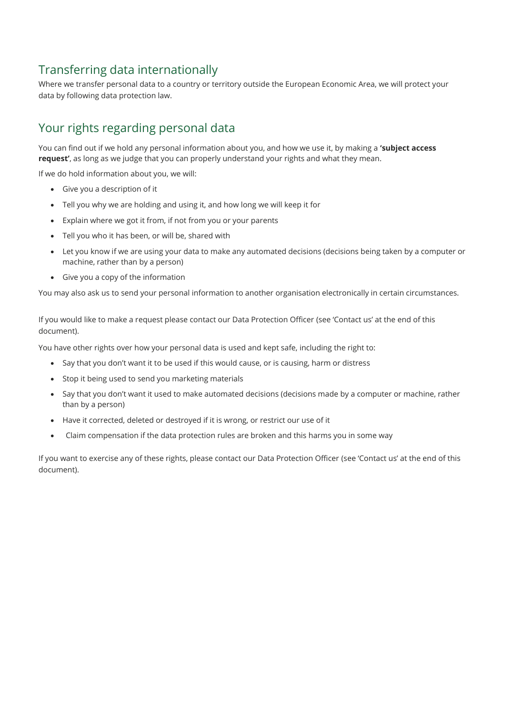# Transferring data internationally

Where we transfer personal data to a country or territory outside the European Economic Area, we will protect your data by following data protection law.

# Your rights regarding personal data

You can find out if we hold any personal information about you, and how we use it, by making a **'subject access request'**, as long as we judge that you can properly understand your rights and what they mean.

If we do hold information about you, we will:

- Give you a description of it
- Tell you why we are holding and using it, and how long we will keep it for
- Explain where we got it from, if not from you or your parents
- Tell you who it has been, or will be, shared with
- Let you know if we are using your data to make any automated decisions (decisions being taken by a computer or machine, rather than by a person)
- Give you a copy of the information

You may also ask us to send your personal information to another organisation electronically in certain circumstances.

If you would like to make a request please contact our Data Protection Officer (see 'Contact us' at the end of this document).

You have other rights over how your personal data is used and kept safe, including the right to:

- Say that you don't want it to be used if this would cause, or is causing, harm or distress
- Stop it being used to send you marketing materials
- Say that you don't want it used to make automated decisions (decisions made by a computer or machine, rather than by a person)
- Have it corrected, deleted or destroyed if it is wrong, or restrict our use of it
- Claim compensation if the data protection rules are broken and this harms you in some way

If you want to exercise any of these rights, please contact our Data Protection Officer (see 'Contact us' at the end of this document).